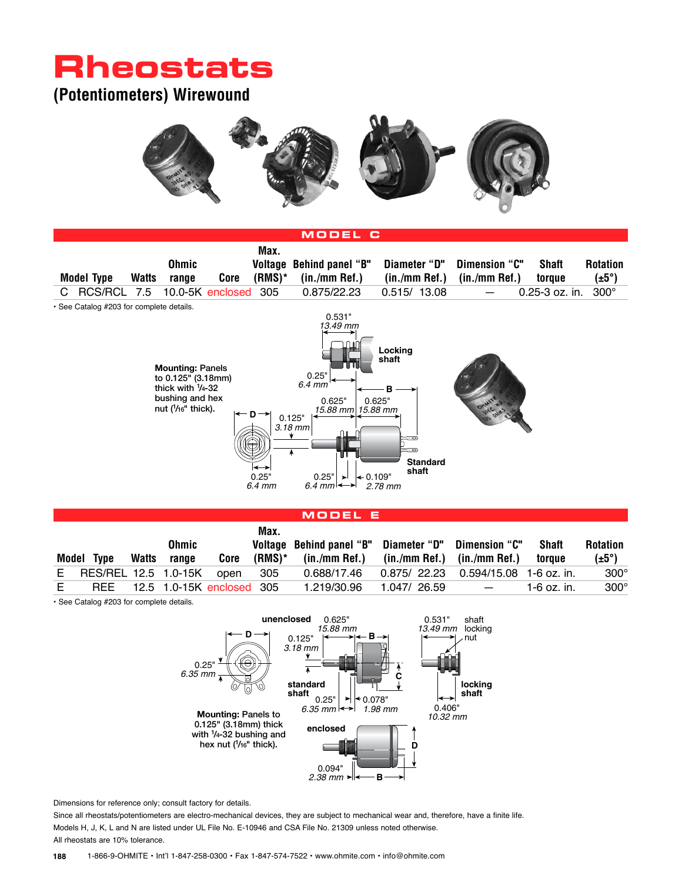# **Rheostats**

### **(Potentiometers) Wirewound**





#### **Model E**

|    |                      |       |              |                               | Max.        |                                                     |                                       |                          |              |                   |
|----|----------------------|-------|--------------|-------------------------------|-------------|-----------------------------------------------------|---------------------------------------|--------------------------|--------------|-------------------|
|    |                      |       | <b>Ohmic</b> |                               |             | Voltage Behind panel "B" Diameter "D" Dimension "C" |                                       |                          | <b>Shaft</b> | <b>Rotation</b>   |
|    | Model Type           | Watts | range        |                               | Core (RMS)* | $(in./mm$ Ref.) $(in./mm$ Ref.) $(in./mm$ Ref.)     |                                       |                          | toraue       | $(\pm 5^{\circ})$ |
| E. | RES/REL 12.5 1.0-15K |       |              | open                          | 305         | 0.688/17.46                                         | $0.875/22.23$ 0.594/15.08 1-6 oz. in. |                          |              | $300^\circ$       |
| E  |                      |       |              | REE 12.5 1.0-15K enclosed 305 |             | 1.219/30.96                                         | 1.047/26.59                           | $\overline{\phantom{0}}$ | 1-6 oz. in.  | $300^\circ$       |

• See Catalog #203 for complete details.



Dimensions for reference only; consult factory for details.

Since all rheostats/potentiometers are electro-mechanical devices, they are subject to mechanical wear and, therefore, have a finite life. Models H, J, K, L and N are listed under UL File No. E-10946 and CSA File No. 21309 unless noted otherwise. All rheostats are 10% tolerance.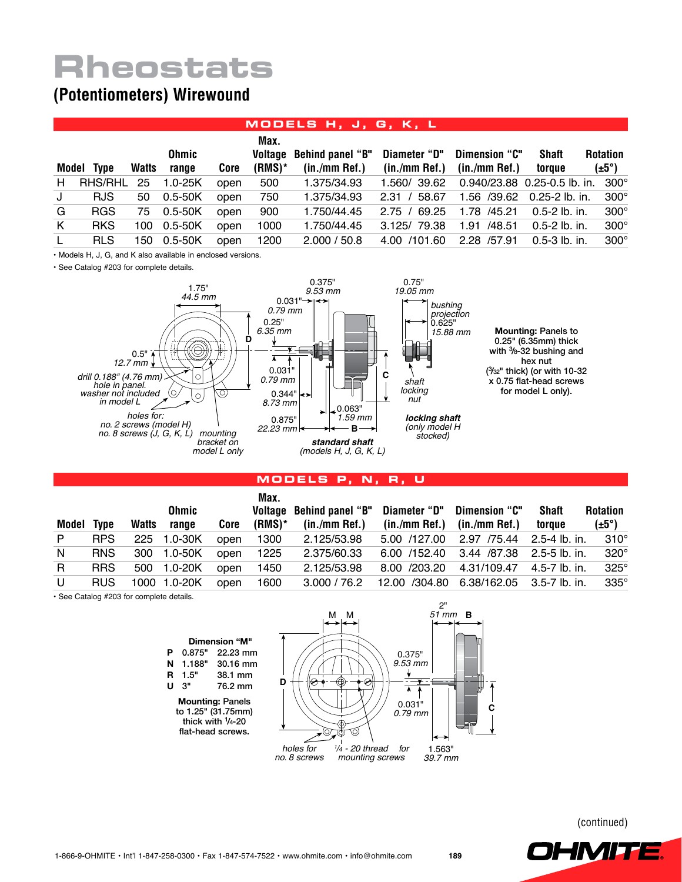# **Rheostats**

### **(Potentiometers) Wirewound**

#### **Models H, J, G, K, L**

|              | Model Type | <b>Watts</b> | Ohmic<br>range | Core | Max.<br>$(RMS)^*$ | Voltage Behind panel "B"<br>$(in./mm$ Ref.) | Diameter "D"<br>$(in./mm$ Ref.) | Dimension "C"<br>$(in./mm$ Ref.) | <b>Shaft</b><br>toraue            | <b>Rotation</b><br>$(\pm 5^{\circ})$ |
|--------------|------------|--------------|----------------|------|-------------------|---------------------------------------------|---------------------------------|----------------------------------|-----------------------------------|--------------------------------------|
| H            | RHS/RHL    | 25           | $1.0 - 25K$    | open | 500               | 1.375/34.93                                 | 1.560/39.62                     |                                  | 0.940/23.88 0.25-0.5 lb. in. 300° |                                      |
| J            | <b>RJS</b> | 50           | $0.5 - 50K$    | open | 750               | 1.375/34.93                                 | 2.31 / 58.67                    |                                  | 1.56 /39.62 0.25-2 lb. in.        | $300^\circ$                          |
| G            | <b>RGS</b> | 75           | $0.5 - 50K$    | open | 900               | 1.750/44.45                                 | 2.75 / 69.25                    | 1.78 /45.21                      | 0.5-2 lb. in.                     | $300^\circ$                          |
| K            | <b>RKS</b> | 100          | 0.5-50K        | open | 1000              | 1.750/44.45                                 | 3.125/79.38                     | 1.91 /48.51                      | 0.5-2 lb. in.                     | $300^\circ$                          |
| $\mathsf{L}$ | <b>RLS</b> | 150          | 0.5-50K        | open | 1200              | 2.000 / 50.8                                | 4.00 /101.60                    | 2.28 /57.91                      | $0.5 - 3$ lb. in.                 | $300^\circ$                          |

• Models H, J, G, and K also available in enclosed versions.

• See Catalog #203 for complete details.



**Models P, N, R, U**

|            |            |       | Ohmic        |      | Max.   | Voltage Behind panel "B"                                  |                                 | Diameter "D" Dimension "C"             | Shaft  | <b>Rotation</b>   |
|------------|------------|-------|--------------|------|--------|-----------------------------------------------------------|---------------------------------|----------------------------------------|--------|-------------------|
| Model Type |            | Watts | range        | Core | (RMS)* | (in./mm Ref.)                                             | $(in./mm$ Ref.) $(in./mm$ Ref.) |                                        | toraue | $(\pm 5^{\circ})$ |
| P          | <b>RPS</b> | 225   | 1.0-30K      | open | 1300   | 2.125/53.98                                               |                                 | 5.00 /127.00 2.97 /75.44 2.5-4 lb. in. |        | $310^\circ$       |
| N          | <b>RNS</b> | 300   | 1.0-50K      | open | 1225   | 2.375/60.33                                               |                                 | 6.00 /152.40 3.44 /87.38 2.5-5 lb. in. |        | $320^\circ$       |
| R.         | <b>RRS</b> | 500   | 1.0-20K      | open | 1450   | 2.125/53.98                                               |                                 | 8.00 /203.20 4.31/109.47 4.5-7 lb. in. |        | $325^\circ$       |
| U          | <b>RUS</b> |       | 1000 1.0-20K | open | 1600   | 3.000 / 76.2  12.00  / 304.80  6.38/162.05  3.5-7 lb. in. |                                 |                                        |        | $335^\circ$       |

• See Catalog #203 for complete details.



(continued)

**OHMITE!**